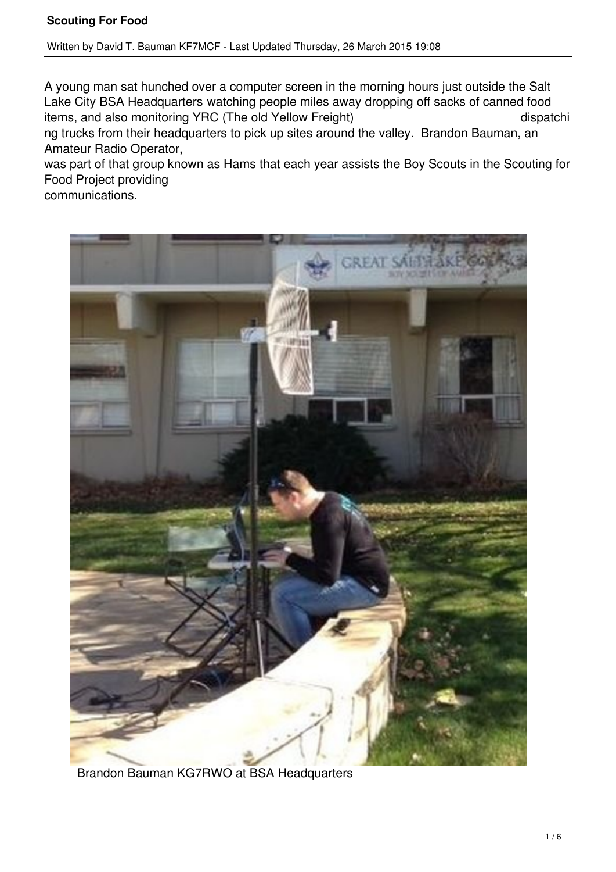Written by David T. Bauman KF7MCF - Last Updated Thursday, 26 March 2015 19:08

A young man sat hunched over a computer screen in the morning hours just outside the Salt Lake City BSA Headquarters watching people miles away dropping off sacks of canned food items, and also monitoring YRC (The old Yellow Freight) dispatching dispatching vertex of the old Yellow Freight) ng trucks from their headquarters to pick up sites around the valley. Brandon Bauman, an Amateur Radio Operator,

was part of that group known as Hams that each year assists the Boy Scouts in the Scouting for Food Project providing

communications.



Brandon Bauman KG7RWO at BSA Headquarters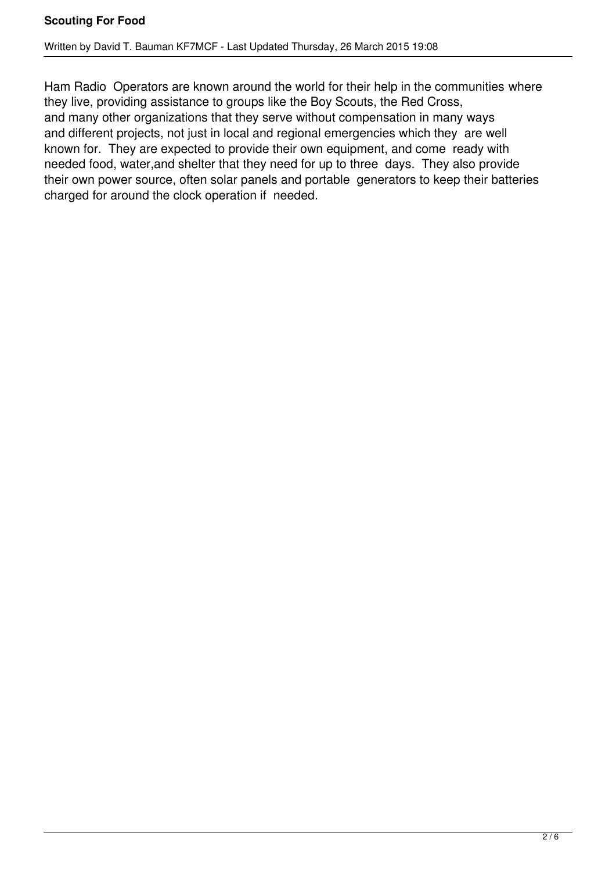Ham Radio Operators are known around the world for their help in the communities where they live, providing assistance to groups like the Boy Scouts, the Red Cross, and many other organizations that they serve without compensation in many ways and different projects, not just in local and regional emergencies which they are well known for. They are expected to provide their own equipment, and come ready with needed food, water,and shelter that they need for up to three days. They also provide their own power source, often solar panels and portable generators to keep their batteries charged for around the clock operation if needed.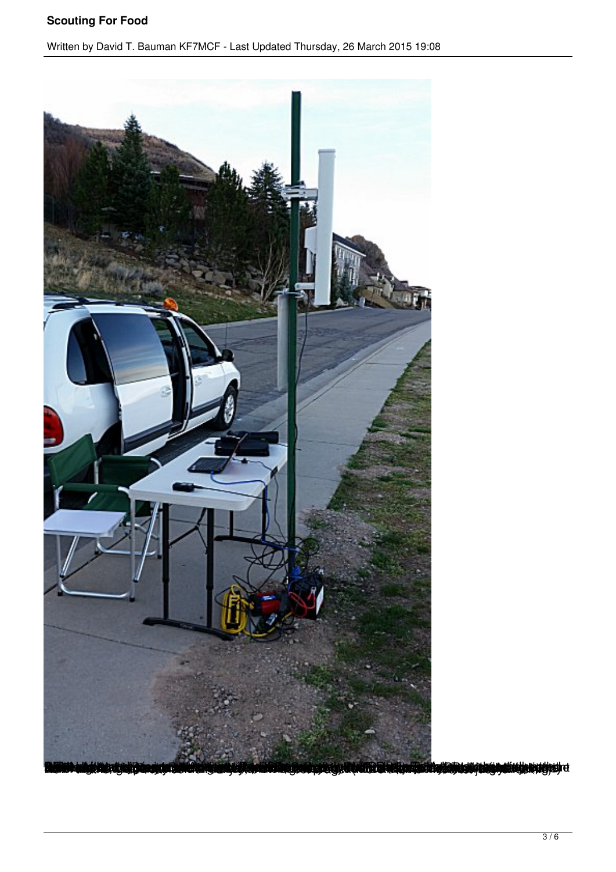Written by David T. Bauman KF7MCF - Last Updated Thursday, 26 March 2015 19:08

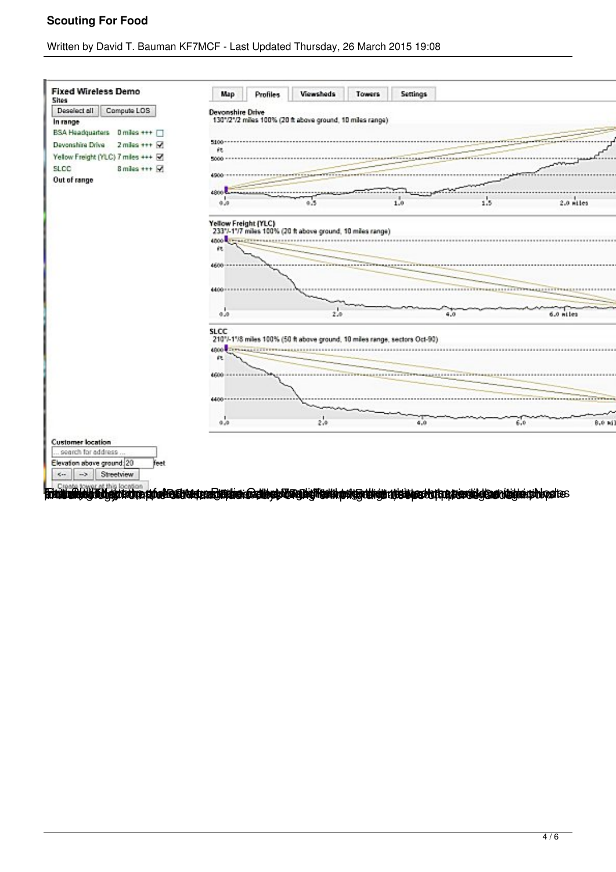# Written by David T. Bauman KF7MCF - Last Updated Thursday, 26 March 2015 19:08

| Compute LOS<br>Deselect all<br>In range<br>BSA Headquarters D miles +++<br>Devonshire Drive<br>$2$ miles $***$ $\overline{M}$<br>Yellow Freight (YLC) 7 miles +++ 2 | <b>Devonshire Drive</b><br>5100                         | 130°/2°/2 miles 100% (20 ft above ground, 10 miles range)                                                                                    |     |                                    |             |
|---------------------------------------------------------------------------------------------------------------------------------------------------------------------|---------------------------------------------------------|----------------------------------------------------------------------------------------------------------------------------------------------|-----|------------------------------------|-------------|
|                                                                                                                                                                     |                                                         |                                                                                                                                              |     |                                    |             |
|                                                                                                                                                                     |                                                         |                                                                                                                                              |     |                                    |             |
|                                                                                                                                                                     |                                                         |                                                                                                                                              |     |                                    |             |
|                                                                                                                                                                     | ĤЕ.                                                     |                                                                                                                                              |     |                                    |             |
|                                                                                                                                                                     | 5000                                                    |                                                                                                                                              |     |                                    |             |
| <b>SLCC</b><br>8 miles $***$                                                                                                                                        |                                                         |                                                                                                                                              |     |                                    |             |
| Out of range                                                                                                                                                        | 4900 *****                                              |                                                                                                                                              |     |                                    |             |
|                                                                                                                                                                     | 4800 %                                                  |                                                                                                                                              |     |                                    |             |
|                                                                                                                                                                     | 0.0                                                     | 0.5                                                                                                                                          | 1.0 | 1.5                                | $2.0$ miles |
|                                                                                                                                                                     | ék.<br>4600 -------<br>4400 -----<br>0.0<br><b>SLCC</b> | 233*/-1*/7 miles 100% (20 ft above ground, 10 miles range)<br>2.0<br>210%-1% miles 100% (50 ft above ground, 10 miles range, sectors Oct-90) |     | Programmers (Typesare and I<br>4.0 | 6.0 miles   |
|                                                                                                                                                                     | έt                                                      |                                                                                                                                              |     |                                    |             |
|                                                                                                                                                                     |                                                         |                                                                                                                                              |     |                                    |             |
|                                                                                                                                                                     |                                                         |                                                                                                                                              |     |                                    |             |
|                                                                                                                                                                     |                                                         |                                                                                                                                              |     |                                    |             |
|                                                                                                                                                                     | 0.0                                                     | $2\frac{1}{2}$                                                                                                                               | 4.0 | 6,0                                | 8.0 mil     |
| <b>Customer location</b>                                                                                                                                            |                                                         |                                                                                                                                              |     |                                    |             |
| search for address.                                                                                                                                                 |                                                         |                                                                                                                                              |     |                                    |             |
| Elevation above ground 20<br>feet                                                                                                                                   |                                                         |                                                                                                                                              |     |                                    |             |
| Streetview<br>$\mathbf{r}'_{n}$                                                                                                                                     |                                                         |                                                                                                                                              |     |                                    |             |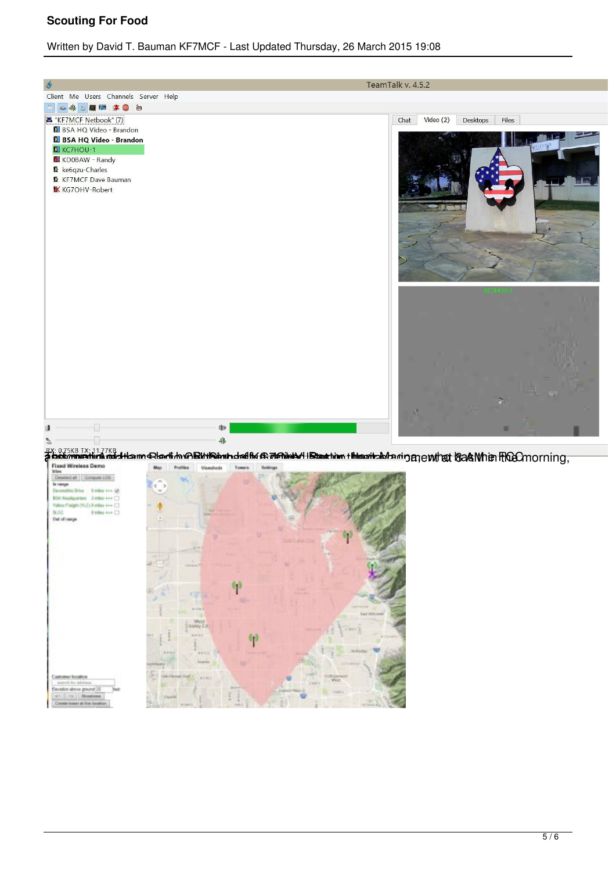#### Written by David T. Bauman KF7MCF - Last Updated Thursday, 26 March 2015 19:08